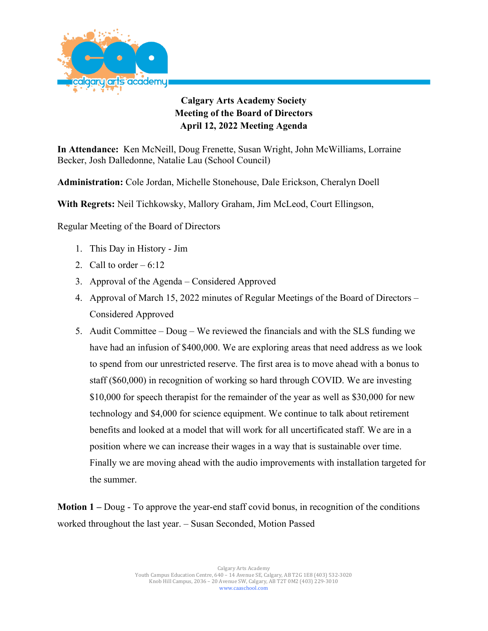

## **Calgary Arts Academy Society Meeting of the Board of Directors April 12, 2022 Meeting Agenda**

**In Attendance:** Ken McNeill, Doug Frenette, Susan Wright, John McWilliams, Lorraine Becker, Josh Dalledonne, Natalie Lau (School Council)

**Administration:** Cole Jordan, Michelle Stonehouse, Dale Erickson, Cheralyn Doell

**With Regrets:** Neil Tichkowsky, Mallory Graham, Jim McLeod, Court Ellingson,

Regular Meeting of the Board of Directors

- 1. This Day in History Jim
- 2. Call to order  $-6:12$
- 3. Approval of the Agenda Considered Approved
- 4. Approval of March 15, 2022 minutes of Regular Meetings of the Board of Directors Considered Approved
- 5. Audit Committee Doug We reviewed the financials and with the SLS funding we have had an infusion of \$400,000. We are exploring areas that need address as we look to spend from our unrestricted reserve. The first area is to move ahead with a bonus to staff (\$60,000) in recognition of working so hard through COVID. We are investing \$10,000 for speech therapist for the remainder of the year as well as \$30,000 for new technology and \$4,000 for science equipment. We continue to talk about retirement benefits and looked at a model that will work for all uncertificated staff. We are in a position where we can increase their wages in a way that is sustainable over time. Finally we are moving ahead with the audio improvements with installation targeted for the summer.

**Motion 1 –** Doug - To approve the year-end staff covid bonus, in recognition of the conditions worked throughout the last year. – Susan Seconded, Motion Passed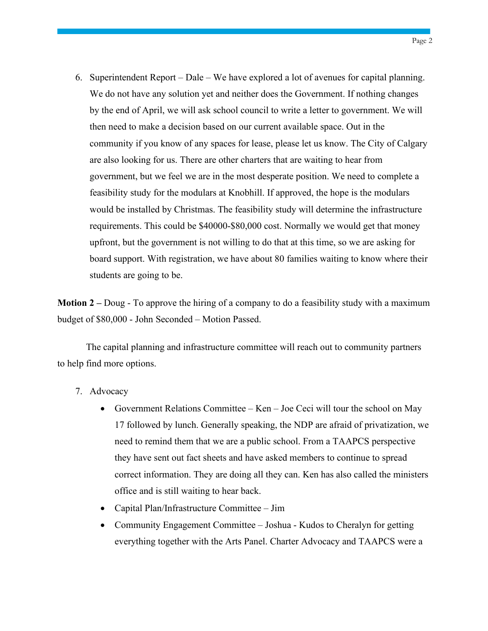6. Superintendent Report – Dale – We have explored a lot of avenues for capital planning. We do not have any solution yet and neither does the Government. If nothing changes by the end of April, we will ask school council to write a letter to government. We will then need to make a decision based on our current available space. Out in the community if you know of any spaces for lease, please let us know. The City of Calgary are also looking for us. There are other charters that are waiting to hear from government, but we feel we are in the most desperate position. We need to complete a feasibility study for the modulars at Knobhill. If approved, the hope is the modulars would be installed by Christmas. The feasibility study will determine the infrastructure requirements. This could be \$40000-\$80,000 cost. Normally we would get that money upfront, but the government is not willing to do that at this time, so we are asking for board support. With registration, we have about 80 families waiting to know where their students are going to be.

**Motion 2 –** Doug - To approve the hiring of a company to do a feasibility study with a maximum budget of \$80,000 - John Seconded – Motion Passed.

The capital planning and infrastructure committee will reach out to community partners to help find more options.

- 7. Advocacy
	- Government Relations Committee Ken Joe Ceci will tour the school on May 17 followed by lunch. Generally speaking, the NDP are afraid of privatization, we need to remind them that we are a public school. From a TAAPCS perspective they have sent out fact sheets and have asked members to continue to spread correct information. They are doing all they can. Ken has also called the ministers office and is still waiting to hear back.
	- Capital Plan/Infrastructure Committee Jim
	- Community Engagement Committee Joshua Kudos to Cheralyn for getting everything together with the Arts Panel. Charter Advocacy and TAAPCS were a